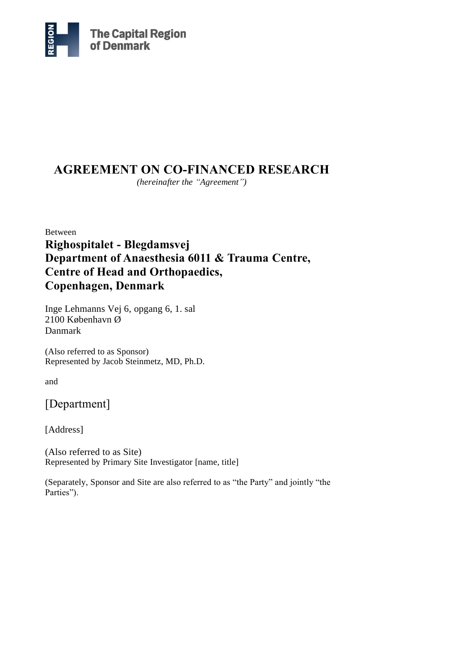

# **AGREEMENT ON CO-FINANCED RESEARCH**

*(hereinafter the "Agreement")*

Between **Righospitalet - Blegdamsvej Department of Anaesthesia 6011 & Trauma Centre, Centre of Head and Orthopaedics, Copenhagen, Denmark**

Inge Lehmanns Vej 6, opgang 6, 1. sal 2100 København Ø Danmark

(Also referred to as Sponsor) Represented by Jacob Steinmetz, MD, Ph.D.

and

# [Department]

[Address]

(Also referred to as Site) Represented by Primary Site Investigator [name, title]

(Separately, Sponsor and Site are also referred to as "the Party" and jointly "the Parties").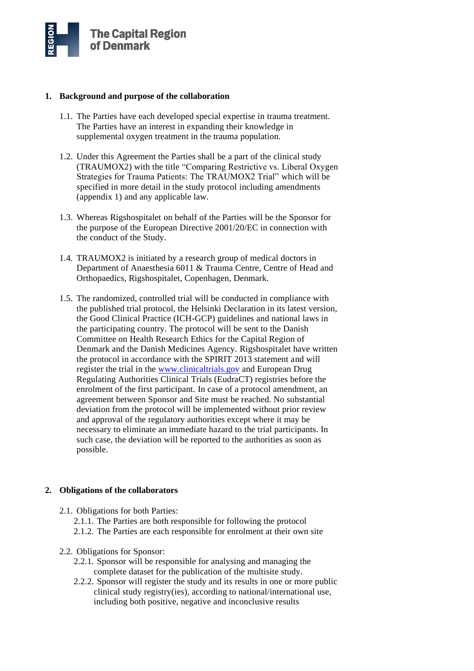

### **1. Background and purpose of the collaboration**

- 1.1. The Parties have each developed special expertise in trauma treatment. The Parties have an interest in expanding their knowledge in supplemental oxygen treatment in the trauma population.
- 1.2. Under this Agreement the Parties shall be a part of the clinical study (TRAUMOX2) with the title "Comparing Restrictive vs. Liberal Oxygen Strategies for Trauma Patients: The TRAUMOX2 Trial" which will be specified in more detail in the study protocol including amendments (appendix 1) and any applicable law.
- 1.3. Whereas Rigshospitalet on behalf of the Parties will be the Sponsor for the purpose of the European Directive 2001/20/EC in connection with the conduct of the Study.
- 1.4. TRAUMOX2 is initiated by a research group of medical doctors in Department of Anaesthesia 6011 & Trauma Centre, Centre of Head and Orthopaedics, Rigshospitalet, Copenhagen, Denmark.
- 1.5. The randomized, controlled trial will be conducted in compliance with the published trial protocol, the Helsinki Declaration in its latest version, the Good Clinical Practice (ICH-GCP) guidelines and national laws in the participating country. The protocol will be sent to the Danish Committee on Health Research Ethics for the Capital Region of Denmark and the Danish Medicines Agency. Rigshospitalet have written the protocol in accordance with the SPIRIT 2013 statement and will register the trial in the [www.clinicaltrials.gov](http://www.clinicaltrials.gov/) and European Drug Regulating Authorities Clinical Trials (EudraCT) registries before the enrolment of the first participant. In case of a protocol amendment, an agreement between Sponsor and Site must be reached. No substantial deviation from the protocol will be implemented without prior review and approval of the regulatory authorities except where it may be necessary to eliminate an immediate hazard to the trial participants. In such case, the deviation will be reported to the authorities as soon as possible.

# **2. Obligations of the collaborators**

- 2.1. Obligations for both Parties:
	- 2.1.1. The Parties are both responsible for following the protocol
	- 2.1.2. The Parties are each responsible for enrolment at their own site
- 2.2. Obligations for Sponsor:
	- 2.2.1. Sponsor will be responsible for analysing and managing the complete dataset for the publication of the multisite study.
	- 2.2.2. Sponsor will register the study and its results in one or more public clinical study registry(ies), according to national/international use, including both positive, negative and inconclusive results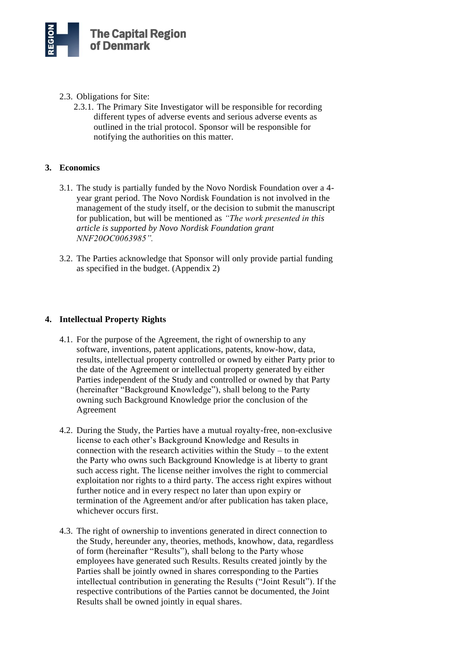

- 2.3. Obligations for Site:
	- 2.3.1. The Primary Site Investigator will be responsible for recording different types of adverse events and serious adverse events as outlined in the trial protocol. Sponsor will be responsible for notifying the authorities on this matter.

## **3. Economics**

- 3.1. The study is partially funded by the Novo Nordisk Foundation over a 4 year grant period. The Novo Nordisk Foundation is not involved in the management of the study itself, or the decision to submit the manuscript for publication, but will be mentioned as *"The work presented in this article is supported by Novo Nordisk Foundation grant NNF20OC0063985".*
- 3.2. The Parties acknowledge that Sponsor will only provide partial funding as specified in the budget. (Appendix 2)

## **4. Intellectual Property Rights**

- 4.1. For the purpose of the Agreement, the right of ownership to any software, inventions, patent applications, patents, know-how, data, results, intellectual property controlled or owned by either Party prior to the date of the Agreement or intellectual property generated by either Parties independent of the Study and controlled or owned by that Party (hereinafter "Background Knowledge"), shall belong to the Party owning such Background Knowledge prior the conclusion of the Agreement
- 4.2. During the Study, the Parties have a mutual royalty-free, non-exclusive license to each other's Background Knowledge and Results in connection with the research activities within the Study – to the extent the Party who owns such Background Knowledge is at liberty to grant such access right. The license neither involves the right to commercial exploitation nor rights to a third party. The access right expires without further notice and in every respect no later than upon expiry or termination of the Agreement and/or after publication has taken place, whichever occurs first.
- 4.3. The right of ownership to inventions generated in direct connection to the Study, hereunder any, theories, methods, knowhow, data, regardless of form (hereinafter "Results"), shall belong to the Party whose employees have generated such Results. Results created jointly by the Parties shall be jointly owned in shares corresponding to the Parties intellectual contribution in generating the Results ("Joint Result"). If the respective contributions of the Parties cannot be documented, the Joint Results shall be owned jointly in equal shares.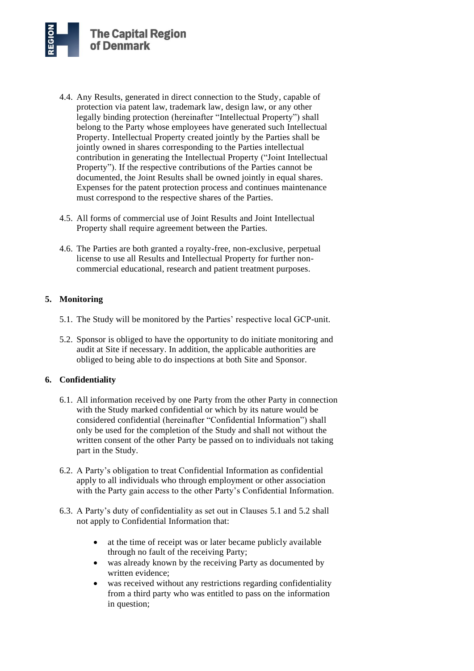- 4.4. Any Results, generated in direct connection to the Study, capable of protection via patent law, trademark law, design law, or any other legally binding protection (hereinafter "Intellectual Property") shall belong to the Party whose employees have generated such Intellectual Property. Intellectual Property created jointly by the Parties shall be jointly owned in shares corresponding to the Parties intellectual contribution in generating the Intellectual Property ("Joint Intellectual Property"). If the respective contributions of the Parties cannot be documented, the Joint Results shall be owned jointly in equal shares. Expenses for the patent protection process and continues maintenance must correspond to the respective shares of the Parties.
- 4.5. All forms of commercial use of Joint Results and Joint Intellectual Property shall require agreement between the Parties.
- 4.6. The Parties are both granted a royalty-free, non-exclusive, perpetual license to use all Results and Intellectual Property for further noncommercial educational, research and patient treatment purposes.

# **5. Monitoring**

- 5.1. The Study will be monitored by the Parties' respective local GCP-unit.
- 5.2. Sponsor is obliged to have the opportunity to do initiate monitoring and audit at Site if necessary. In addition, the applicable authorities are obliged to being able to do inspections at both Site and Sponsor.

# **6. Confidentiality**

- 6.1. All information received by one Party from the other Party in connection with the Study marked confidential or which by its nature would be considered confidential (hereinafter "Confidential Information") shall only be used for the completion of the Study and shall not without the written consent of the other Party be passed on to individuals not taking part in the Study.
- 6.2. A Party's obligation to treat Confidential Information as confidential apply to all individuals who through employment or other association with the Party gain access to the other Party's Confidential Information.
- 6.3. A Party's duty of confidentiality as set out in Clauses 5.1 and 5.2 shall not apply to Confidential Information that:
	- at the time of receipt was or later became publicly available through no fault of the receiving Party;
	- was already known by the receiving Party as documented by written evidence;
	- was received without any restrictions regarding confidentiality from a third party who was entitled to pass on the information in question;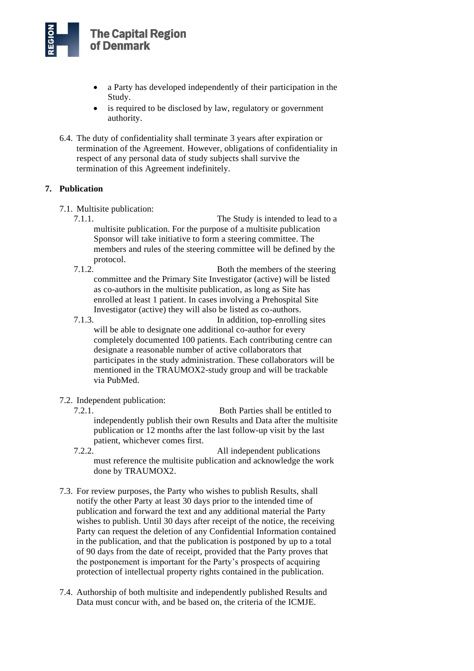

- a Party has developed independently of their participation in the Study.
- is required to be disclosed by law, regulatory or government authority.
- 6.4. The duty of confidentiality shall terminate 3 years after expiration or termination of the Agreement. However, obligations of confidentiality in respect of any personal data of study subjects shall survive the termination of this Agreement indefinitely.

## **7. Publication**

- 7.1. Multisite publication:
	- 7.1.1. The Study is intended to lead to a multisite publication. For the purpose of a multisite publication Sponsor will take initiative to form a steering committee. The members and rules of the steering committee will be defined by the protocol.
	- 7.1.2. Both the members of the steering committee and the Primary Site Investigator (active) will be listed as co-authors in the multisite publication, as long as Site has enrolled at least 1 patient. In cases involving a Prehospital Site Investigator (active) they will also be listed as co-authors.
	- 7.1.3. In addition, top-enrolling sites will be able to designate one additional co-author for every completely documented 100 patients. Each contributing centre can designate a reasonable number of active collaborators that participates in the study administration. These collaborators will be mentioned in the TRAUMOX2-study group and will be trackable via PubMed.
- 7.2. Independent publication:
	- 7.2.1. Both Parties shall be entitled to independently publish their own Results and Data after the multisite publication or 12 months after the last follow-up visit by the last patient, whichever comes first.
	- 7.2.2. All independent publications must reference the multisite publication and acknowledge the work done by TRAUMOX2.
- 7.3. For review purposes, the Party who wishes to publish Results, shall notify the other Party at least 30 days prior to the intended time of publication and forward the text and any additional material the Party wishes to publish. Until 30 days after receipt of the notice, the receiving Party can request the deletion of any Confidential Information contained in the publication, and that the publication is postponed by up to a total of 90 days from the date of receipt, provided that the Party proves that the postponement is important for the Party's prospects of acquiring protection of intellectual property rights contained in the publication.
- 7.4. Authorship of both multisite and independently published Results and Data must concur with, and be based on, the criteria of the ICMJE.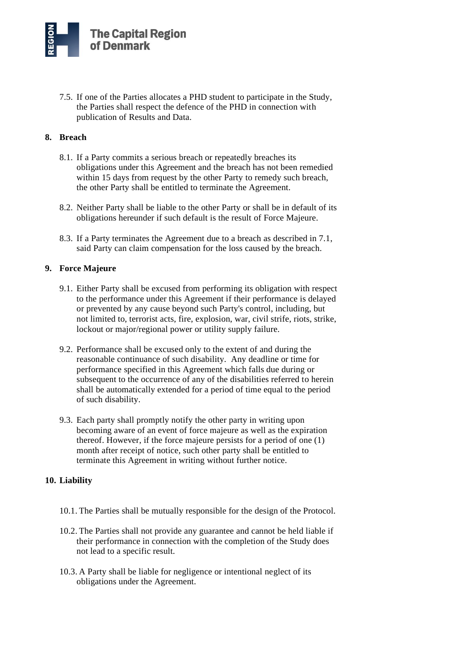7.5. If one of the Parties allocates a PHD student to participate in the Study, the Parties shall respect the defence of the PHD in connection with publication of Results and Data.

# **8. Breach**

- 8.1. If a Party commits a serious breach or repeatedly breaches its obligations under this Agreement and the breach has not been remedied within 15 days from request by the other Party to remedy such breach, the other Party shall be entitled to terminate the Agreement.
- 8.2. Neither Party shall be liable to the other Party or shall be in default of its obligations hereunder if such default is the result of Force Majeure.
- 8.3. If a Party terminates the Agreement due to a breach as described in 7.1, said Party can claim compensation for the loss caused by the breach.

# **9. Force Majeure**

- 9.1. Either Party shall be excused from performing its obligation with respect to the performance under this Agreement if their performance is delayed or prevented by any cause beyond such Party's control, including, but not limited to, terrorist acts, fire, explosion, war, civil strife, riots, strike, lockout or major/regional power or utility supply failure.
- 9.2. Performance shall be excused only to the extent of and during the reasonable continuance of such disability. Any deadline or time for performance specified in this Agreement which falls due during or subsequent to the occurrence of any of the disabilities referred to herein shall be automatically extended for a period of time equal to the period of such disability.
- 9.3. Each party shall promptly notify the other party in writing upon becoming aware of an event of force majeure as well as the expiration thereof. However, if the force majeure persists for a period of one (1) month after receipt of notice, such other party shall be entitled to terminate this Agreement in writing without further notice.

# **10. Liability**

- 10.1. The Parties shall be mutually responsible for the design of the Protocol.
- 10.2. The Parties shall not provide any guarantee and cannot be held liable if their performance in connection with the completion of the Study does not lead to a specific result.
- 10.3. A Party shall be liable for negligence or intentional neglect of its obligations under the Agreement.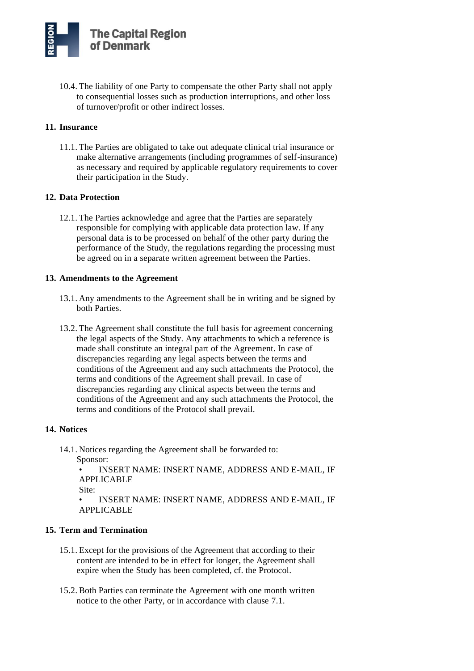10.4. The liability of one Party to compensate the other Party shall not apply to consequential losses such as production interruptions, and other loss of turnover/profit or other indirect losses.

# **11. Insurance**

11.1. The Parties are obligated to take out adequate clinical trial insurance or make alternative arrangements (including programmes of self-insurance) as necessary and required by applicable regulatory requirements to cover their participation in the Study.

## **12. Data Protection**

12.1. The Parties acknowledge and agree that the Parties are separately responsible for complying with applicable data protection law. If any personal data is to be processed on behalf of the other party during the performance of the Study, the regulations regarding the processing must be agreed on in a separate written agreement between the Parties.

## **13. Amendments to the Agreement**

- 13.1. Any amendments to the Agreement shall be in writing and be signed by both Parties.
- 13.2. The Agreement shall constitute the full basis for agreement concerning the legal aspects of the Study. Any attachments to which a reference is made shall constitute an integral part of the Agreement. In case of discrepancies regarding any legal aspects between the terms and conditions of the Agreement and any such attachments the Protocol, the terms and conditions of the Agreement shall prevail. In case of discrepancies regarding any clinical aspects between the terms and conditions of the Agreement and any such attachments the Protocol, the terms and conditions of the Protocol shall prevail.

#### **14. Notices**

14.1. Notices regarding the Agreement shall be forwarded to: Sponsor:

• INSERT NAME: INSERT NAME, ADDRESS AND E-MAIL, IF APPLICABLE

Site:

• INSERT NAME: INSERT NAME, ADDRESS AND E-MAIL, IF APPLICABLE

# **15. Term and Termination**

- 15.1. Except for the provisions of the Agreement that according to their content are intended to be in effect for longer, the Agreement shall expire when the Study has been completed, cf. the Protocol.
- 15.2. Both Parties can terminate the Agreement with one month written notice to the other Party, or in accordance with clause 7.1.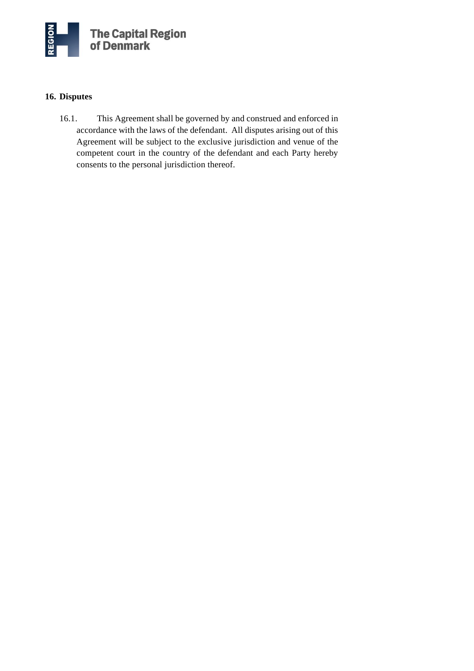

# **16. Disputes**

16.1. This Agreement shall be governed by and construed and enforced in accordance with the laws of the defendant. All disputes arising out of this Agreement will be subject to the exclusive jurisdiction and venue of the competent court in the country of the defendant and each Party hereby consents to the personal jurisdiction thereof.